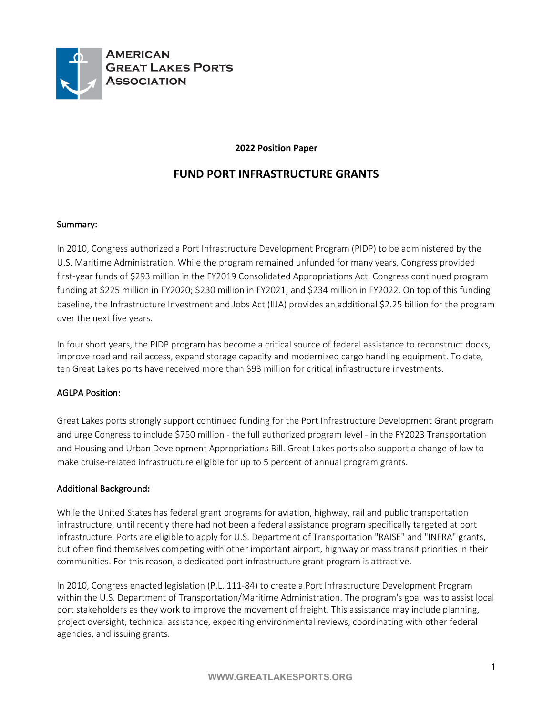

### **2022 Position Paper**

# **FUND PORT INFRASTRUCTURE GRANTS**

#### Summary:

In 2010, Congress authorized a Port Infrastructure Development Program (PIDP) to be administered by the U.S. Maritime Administration. While the program remained unfunded for many years, Congress provided first-year funds of \$293 million in the FY2019 Consolidated Appropriations Act. Congress continued program funding at \$225 million in FY2020; \$230 million in FY2021; and \$234 million in FY2022. On top of this funding baseline, the Infrastructure Investment and Jobs Act (IIJA) provides an additional \$2.25 billion for the program over the next five years.

In four short years, the PIDP program has become a critical source of federal assistance to reconstruct docks, improve road and rail access, expand storage capacity and modernized cargo handling equipment. To date, ten Great Lakes ports have received more than \$93 million for critical infrastructure investments.

#### AGLPA Position:

Great Lakes ports strongly support continued funding for the Port Infrastructure Development Grant program and urge Congress to include \$750 million - the full authorized program level - in the FY2023 Transportation and Housing and Urban Development Appropriations Bill. Great Lakes ports also support a change of law to make cruise-related infrastructure eligible for up to 5 percent of annual program grants.

#### Additional Background:

While the United States has federal grant programs for aviation, highway, rail and public transportation infrastructure, until recently there had not been a federal assistance program specifically targeted at port infrastructure. Ports are eligible to apply for U.S. Department of Transportation "RAISE" and "INFRA" grants, but often find themselves competing with other important airport, highway or mass transit priorities in their communities. For this reason, a dedicated port infrastructure grant program is attractive.

In 2010, Congress enacted legislation (P.L. 111-84) to create a Port Infrastructure Development Program within the U.S. Department of Transportation/Maritime Administration. The program's goal was to assist local port stakeholders as they work to improve the movement of freight. This assistance may include planning, project oversight, technical assistance, expediting environmental reviews, coordinating with other federal agencies, and issuing grants.